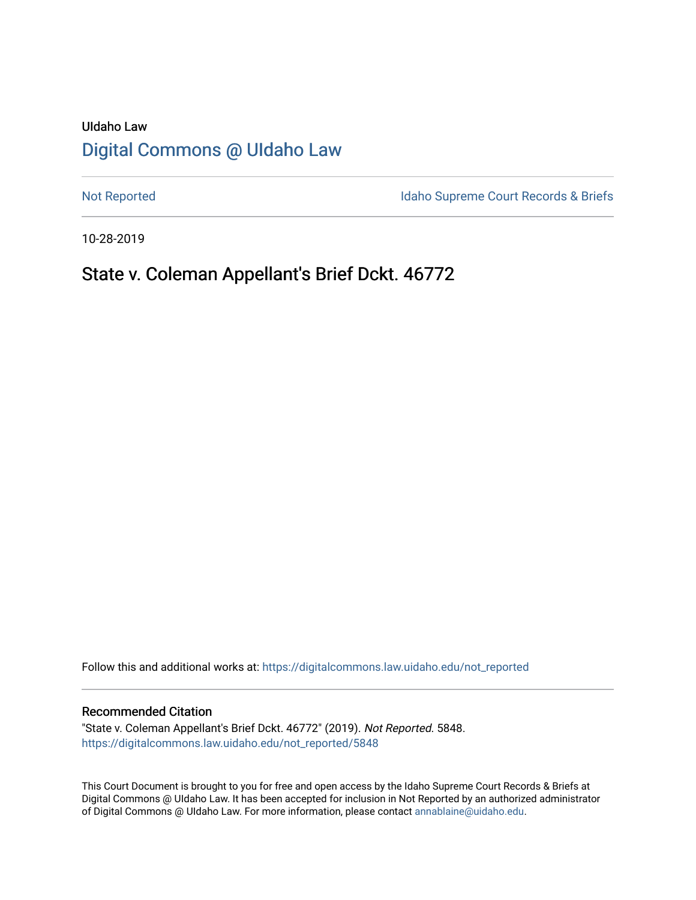# UIdaho Law [Digital Commons @ UIdaho Law](https://digitalcommons.law.uidaho.edu/)

[Not Reported](https://digitalcommons.law.uidaho.edu/not_reported) **Idaho Supreme Court Records & Briefs** 

10-28-2019

## State v. Coleman Appellant's Brief Dckt. 46772

Follow this and additional works at: [https://digitalcommons.law.uidaho.edu/not\\_reported](https://digitalcommons.law.uidaho.edu/not_reported?utm_source=digitalcommons.law.uidaho.edu%2Fnot_reported%2F5848&utm_medium=PDF&utm_campaign=PDFCoverPages) 

#### Recommended Citation

"State v. Coleman Appellant's Brief Dckt. 46772" (2019). Not Reported. 5848. [https://digitalcommons.law.uidaho.edu/not\\_reported/5848](https://digitalcommons.law.uidaho.edu/not_reported/5848?utm_source=digitalcommons.law.uidaho.edu%2Fnot_reported%2F5848&utm_medium=PDF&utm_campaign=PDFCoverPages)

This Court Document is brought to you for free and open access by the Idaho Supreme Court Records & Briefs at Digital Commons @ UIdaho Law. It has been accepted for inclusion in Not Reported by an authorized administrator of Digital Commons @ UIdaho Law. For more information, please contact [annablaine@uidaho.edu](mailto:annablaine@uidaho.edu).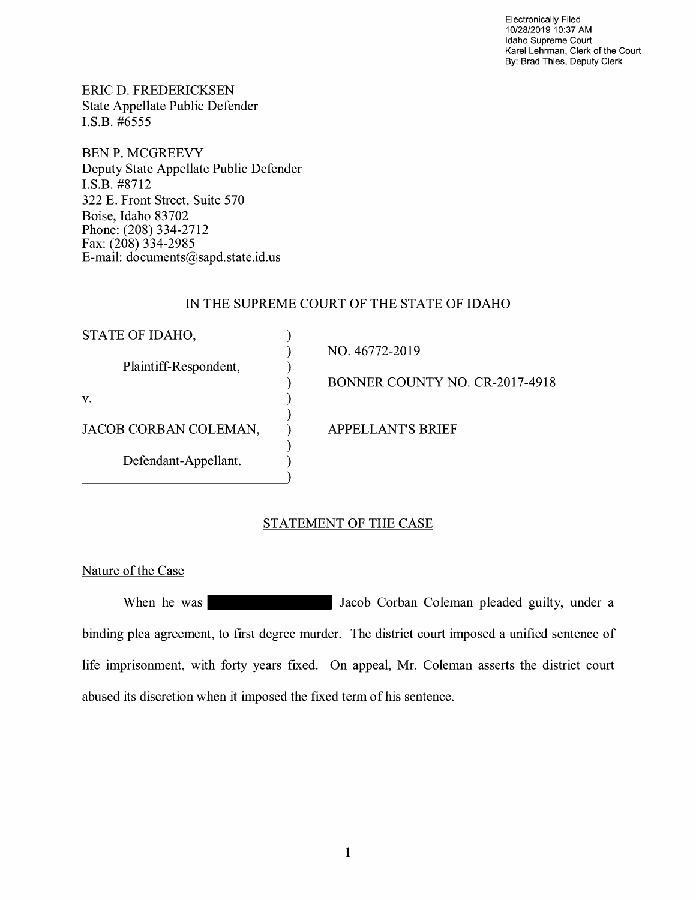Electronically Filed 10/28/2019 10:37 AM Idaho Supreme Court Karel Lehrman, Clerk of the Court By: Brad Thies, Deputy Clerk

ERIC D. FREDERICKSEN State Appellate Public Defender I.S.B. #6555

BEN P. MCGREEVY Deputy State Appellate Public Defender I.S.B. #8712 322 E. Front Street, Suite 570 Boise, Idaho 83702 Phone: (208) 334-2712 Fax: (208) 334-2985 E-mail: documents@sapd.state.id. us

### IN THE SUPREME COURT OF THE STATE OF IDAHO

| STATE OF IDAHO,       |                                |
|-----------------------|--------------------------------|
|                       | NO. 46772-2019                 |
| Plaintiff-Respondent, |                                |
|                       | BONNER COUNTY NO. CR-2017-4918 |
| V.                    |                                |
|                       |                                |
| JACOB CORBAN COLEMAN, | <b>APPELLANT'S BRIEF</b>       |
|                       |                                |
| Defendant-Appellant.  |                                |
|                       |                                |

## STATEMENT OF THE CASE

Nature of the Case

When he was **Vachille State of Tacob Corban Coleman pleaded guilty, under a** binding plea agreement, to first degree murder. The district court imposed a unified sentence of life imprisonment, with forty years fixed. On appeal, Mr. Coleman asserts the district court abused its discretion when it imposed the fixed term of his sentence.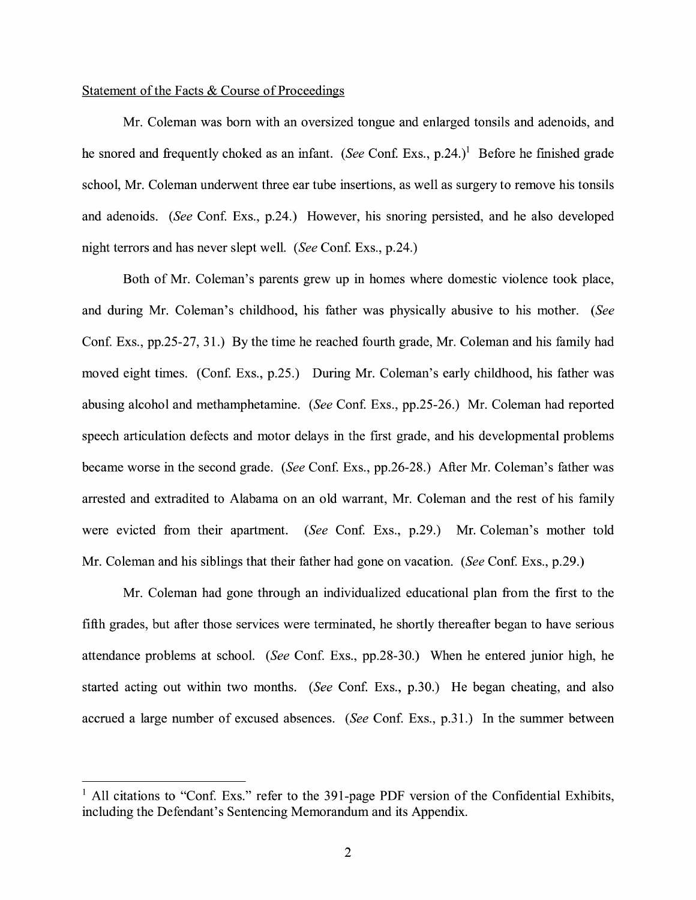#### Statement of the Facts & Course of Proceedings

Mr. Coleman was born with an oversized tongue and enlarged tonsils and adenoids, and he snored and frequently choked as an infant. *(See Conf. Exs., p.24.)*<sup>1</sup> Before he finished grade school, Mr. Coleman underwent three ear tube insertions, as well as surgery to remove his tonsils and adenoids. *(See Conf. Exs., p.24.)* However, his snoring persisted, and he also developed night terrors and has never slept well. *(See Conf. Exs., p.24.)* 

Both of Mr. Coleman's parents grew up in homes where domestic violence took place, and during Mr. Coleman's childhood, his father was physically abusive to his mother. *(See*  Conf. Exs., pp.25-27, 31.) By the time he reached fourth grade, Mr. Coleman and his family had moved eight times. (Conf. Exs., p.25.) During Mr. Coleman's early childhood, his father was abusing alcohol and methamphetamine. *(See Conf. Exs., pp.25-26.)* Mr. Coleman had reported speech articulation defects and motor delays in the first grade, and his developmental problems became worse in the second grade. *(See* Conf. Exs., pp.26-28.) After Mr. Coleman's father was arrested and extradited to Alabama on an old warrant, Mr. Coleman and the rest of his family were evicted from their apartment. *(See Conf. Exs., p.29.)* Mr. Coleman's mother told Mr. Coleman and his siblings that their father had gone on vacation. *(See Conf. Exs., p.29.)* 

Mr. Coleman had gone through an individualized educational plan from the first to the fifth grades, but after those services were terminated, he shortly thereafter began to have serious attendance problems at school. *(See Conf. Exs., pp.28-30.)* When he entered junior high, he started acting out within two months. *(See Conf. Exs., p.30.)* He began cheating, and also accrued a large number of excused absences. *(See* Conf. Exs., p.31.) In the summer between

<sup>&</sup>lt;sup>1</sup> All citations to "Conf. Exs." refer to the 391-page PDF version of the Confidential Exhibits, including the Defendant's Sentencing Memorandum and its Appendix.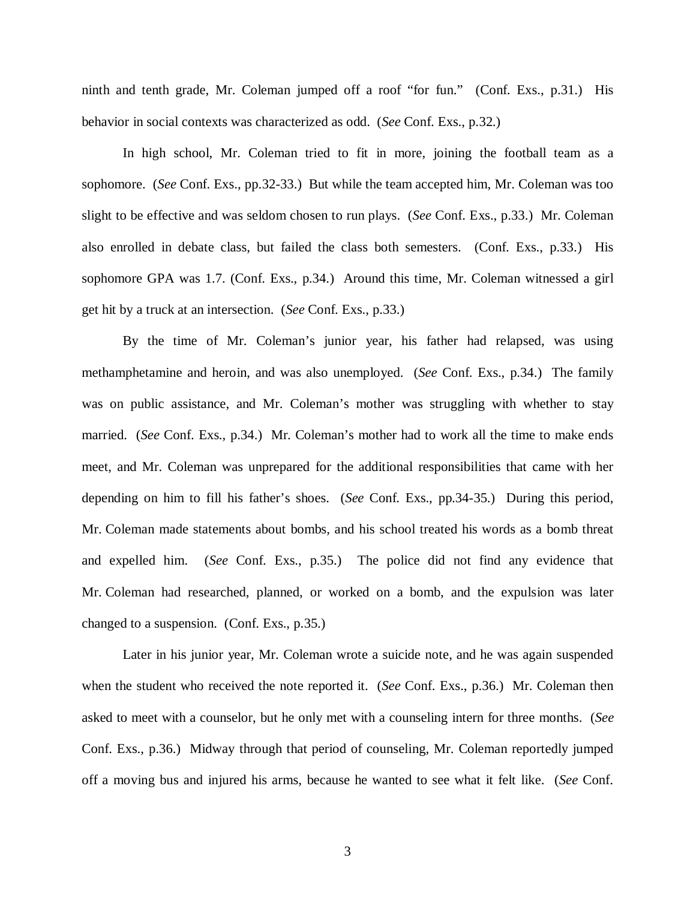ninth and tenth grade, Mr. Coleman jumped off a roof "for fun." (Conf. Exs., p.31.) His behavior in social contexts was characterized as odd. (*See* Conf. Exs., p.32.)

In high school, Mr. Coleman tried to fit in more, joining the football team as a sophomore. (*See* Conf. Exs., pp.32-33.) But while the team accepted him, Mr. Coleman was too slight to be effective and was seldom chosen to run plays. (*See* Conf. Exs., p.33.) Mr. Coleman also enrolled in debate class, but failed the class both semesters. (Conf. Exs., p.33.) His sophomore GPA was 1.7. (Conf. Exs., p.34.) Around this time, Mr. Coleman witnessed a girl get hit by a truck at an intersection. (*See* Conf. Exs., p.33.)

By the time of Mr. Coleman's junior year, his father had relapsed, was using methamphetamine and heroin, and was also unemployed. (*See* Conf. Exs., p.34.) The family was on public assistance, and Mr. Coleman's mother was struggling with whether to stay married. (*See* Conf. Exs., p.34.) Mr. Coleman's mother had to work all the time to make ends meet, and Mr. Coleman was unprepared for the additional responsibilities that came with her depending on him to fill his father's shoes. (*See* Conf. Exs., pp.34-35.) During this period, Mr. Coleman made statements about bombs, and his school treated his words as a bomb threat and expelled him. (*See* Conf. Exs., p.35.) The police did not find any evidence that Mr. Coleman had researched, planned, or worked on a bomb, and the expulsion was later changed to a suspension. (Conf. Exs., p.35.)

Later in his junior year, Mr. Coleman wrote a suicide note, and he was again suspended when the student who received the note reported it. (*See* Conf. Exs., p.36.) Mr. Coleman then asked to meet with a counselor, but he only met with a counseling intern for three months. (*See* Conf. Exs., p.36.) Midway through that period of counseling, Mr. Coleman reportedly jumped off a moving bus and injured his arms, because he wanted to see what it felt like. (*See* Conf.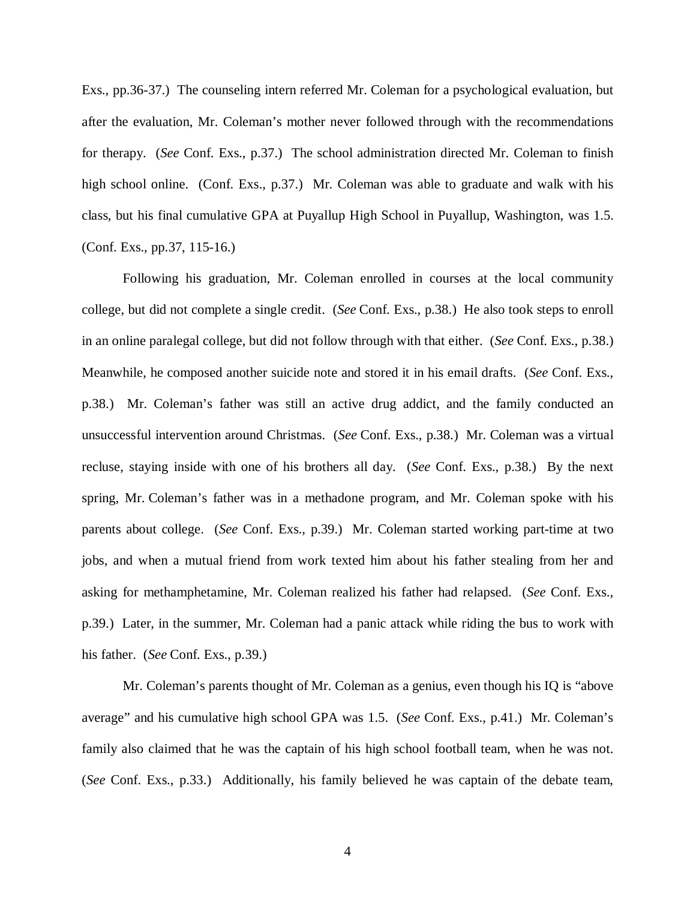Exs., pp.36-37.) The counseling intern referred Mr. Coleman for a psychological evaluation, but after the evaluation, Mr. Coleman's mother never followed through with the recommendations for therapy. (*See* Conf. Exs., p.37.) The school administration directed Mr. Coleman to finish high school online. (Conf. Exs., p.37.) Mr. Coleman was able to graduate and walk with his class, but his final cumulative GPA at Puyallup High School in Puyallup, Washington, was 1.5. (Conf. Exs., pp.37, 115-16.)

Following his graduation, Mr. Coleman enrolled in courses at the local community college, but did not complete a single credit. (*See* Conf. Exs., p.38.) He also took steps to enroll in an online paralegal college, but did not follow through with that either. (*See* Conf. Exs., p.38.) Meanwhile, he composed another suicide note and stored it in his email drafts. (*See* Conf. Exs., p.38.) Mr. Coleman's father was still an active drug addict, and the family conducted an unsuccessful intervention around Christmas. (*See* Conf. Exs., p.38.) Mr. Coleman was a virtual recluse, staying inside with one of his brothers all day. (*See* Conf. Exs., p.38.) By the next spring, Mr. Coleman's father was in a methadone program, and Mr. Coleman spoke with his parents about college. (*See* Conf. Exs., p.39.) Mr. Coleman started working part-time at two jobs, and when a mutual friend from work texted him about his father stealing from her and asking for methamphetamine, Mr. Coleman realized his father had relapsed. (*See* Conf. Exs., p.39.) Later, in the summer, Mr. Coleman had a panic attack while riding the bus to work with his father. (*See* Conf. Exs., p.39.)

Mr. Coleman's parents thought of Mr. Coleman as a genius, even though his IQ is "above average" and his cumulative high school GPA was 1.5. (*See* Conf. Exs., p.41.) Mr. Coleman's family also claimed that he was the captain of his high school football team, when he was not. (*See* Conf. Exs., p.33.) Additionally, his family believed he was captain of the debate team,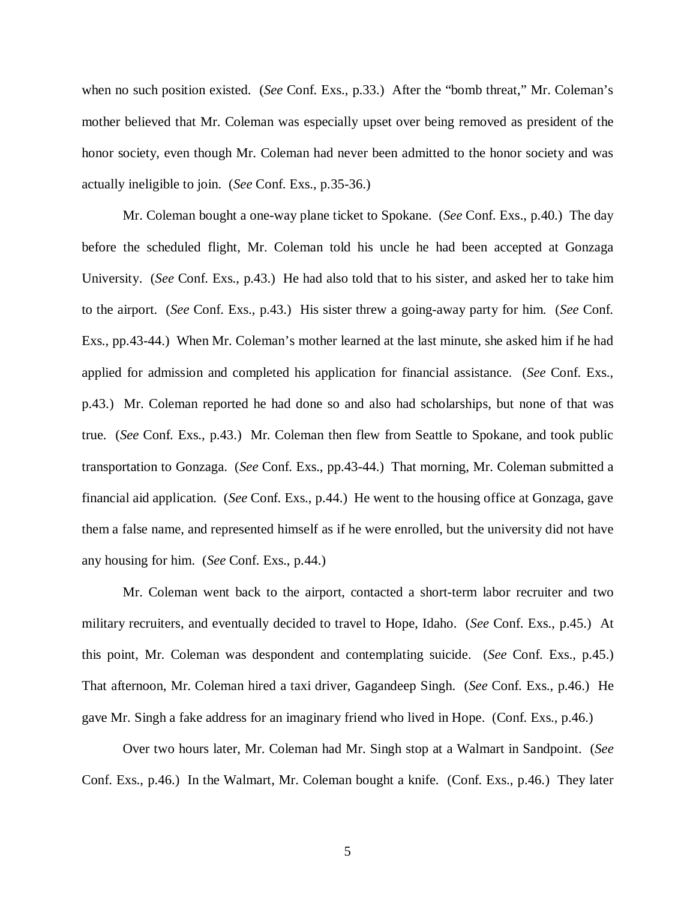when no such position existed. (*See* Conf. Exs., p.33.) After the "bomb threat," Mr. Coleman's mother believed that Mr. Coleman was especially upset over being removed as president of the honor society, even though Mr. Coleman had never been admitted to the honor society and was actually ineligible to join. (*See* Conf. Exs., p.35-36.)

Mr. Coleman bought a one-way plane ticket to Spokane. (*See* Conf. Exs., p.40.) The day before the scheduled flight, Mr. Coleman told his uncle he had been accepted at Gonzaga University. (*See* Conf. Exs., p.43.) He had also told that to his sister, and asked her to take him to the airport. (*See* Conf. Exs., p.43.) His sister threw a going-away party for him. (*See* Conf. Exs., pp.43-44.) When Mr. Coleman's mother learned at the last minute, she asked him if he had applied for admission and completed his application for financial assistance. (*See* Conf. Exs., p.43.) Mr. Coleman reported he had done so and also had scholarships, but none of that was true. (*See* Conf. Exs., p.43.) Mr. Coleman then flew from Seattle to Spokane, and took public transportation to Gonzaga. (*See* Conf. Exs., pp.43-44.) That morning, Mr. Coleman submitted a financial aid application. (*See* Conf. Exs., p.44.) He went to the housing office at Gonzaga, gave them a false name, and represented himself as if he were enrolled, but the university did not have any housing for him. (*See* Conf. Exs., p.44.)

Mr. Coleman went back to the airport, contacted a short-term labor recruiter and two military recruiters, and eventually decided to travel to Hope, Idaho. (*See* Conf. Exs., p.45.) At this point, Mr. Coleman was despondent and contemplating suicide. (*See* Conf. Exs., p.45.) That afternoon, Mr. Coleman hired a taxi driver, Gagandeep Singh. (*See* Conf. Exs., p.46.) He gave Mr. Singh a fake address for an imaginary friend who lived in Hope. (Conf. Exs., p.46.)

Over two hours later, Mr. Coleman had Mr. Singh stop at a Walmart in Sandpoint. (*See* Conf. Exs., p.46.) In the Walmart, Mr. Coleman bought a knife. (Conf. Exs., p.46.) They later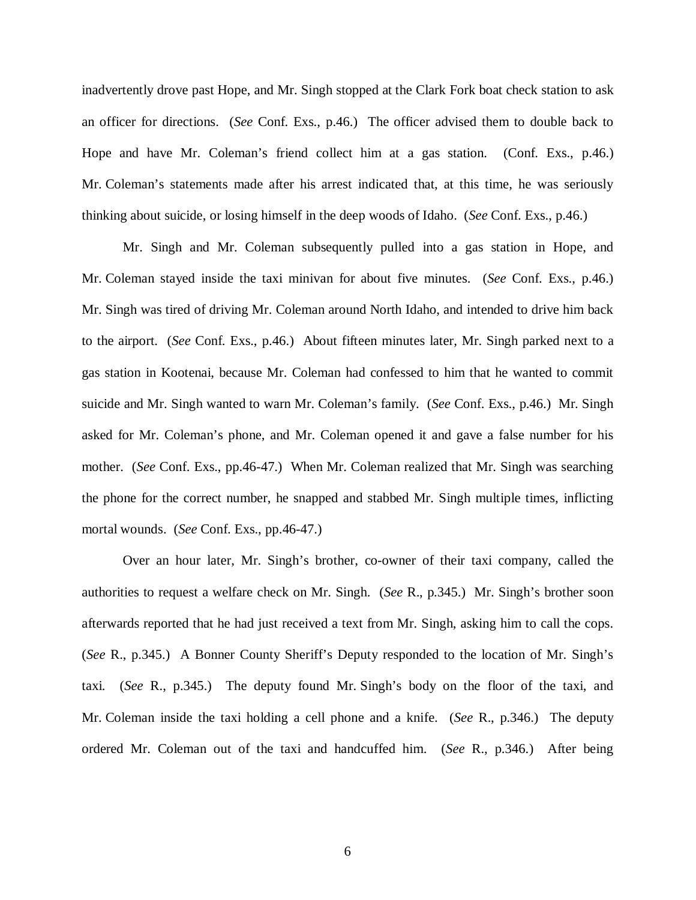inadvertently drove past Hope, and Mr. Singh stopped at the Clark Fork boat check station to ask an officer for directions. (*See* Conf. Exs., p.46.) The officer advised them to double back to Hope and have Mr. Coleman's friend collect him at a gas station. (Conf. Exs., p.46.) Mr. Coleman's statements made after his arrest indicated that, at this time, he was seriously thinking about suicide, or losing himself in the deep woods of Idaho. (*See* Conf. Exs., p.46.)

Mr. Singh and Mr. Coleman subsequently pulled into a gas station in Hope, and Mr. Coleman stayed inside the taxi minivan for about five minutes. (*See* Conf. Exs., p.46.) Mr. Singh was tired of driving Mr. Coleman around North Idaho, and intended to drive him back to the airport. (*See* Conf. Exs., p.46.) About fifteen minutes later, Mr. Singh parked next to a gas station in Kootenai, because Mr. Coleman had confessed to him that he wanted to commit suicide and Mr. Singh wanted to warn Mr. Coleman's family. (*See* Conf. Exs., p.46.) Mr. Singh asked for Mr. Coleman's phone, and Mr. Coleman opened it and gave a false number for his mother. (*See* Conf. Exs., pp.46-47.) When Mr. Coleman realized that Mr. Singh was searching the phone for the correct number, he snapped and stabbed Mr. Singh multiple times, inflicting mortal wounds. (*See* Conf. Exs., pp.46-47.)

Over an hour later, Mr. Singh's brother, co-owner of their taxi company, called the authorities to request a welfare check on Mr. Singh. (*See* R., p.345.) Mr. Singh's brother soon afterwards reported that he had just received a text from Mr. Singh, asking him to call the cops. (*See* R., p.345.) A Bonner County Sheriff's Deputy responded to the location of Mr. Singh's taxi. (*See* R., p.345.) The deputy found Mr. Singh's body on the floor of the taxi, and Mr. Coleman inside the taxi holding a cell phone and a knife. (*See* R., p.346.) The deputy ordered Mr. Coleman out of the taxi and handcuffed him. (*See* R., p.346.) After being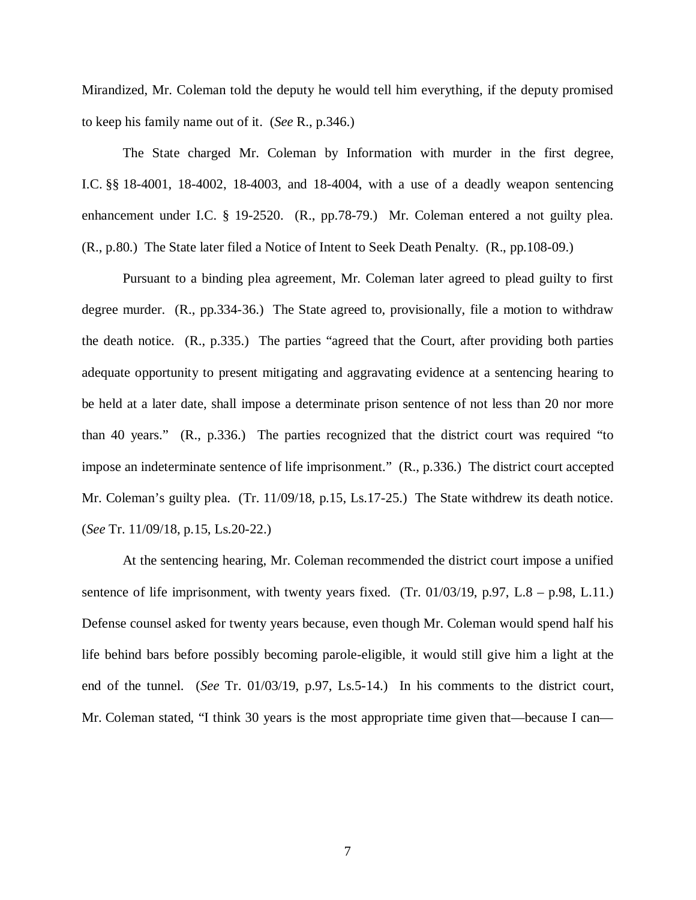Mirandized, Mr. Coleman told the deputy he would tell him everything, if the deputy promised to keep his family name out of it. (*See* R., p.346.)

The State charged Mr. Coleman by Information with murder in the first degree, I.C. §§ 18-4001, 18-4002, 18-4003, and 18-4004, with a use of a deadly weapon sentencing enhancement under I.C. § 19-2520. (R., pp.78-79.) Mr. Coleman entered a not guilty plea. (R., p.80.) The State later filed a Notice of Intent to Seek Death Penalty. (R., pp.108-09.)

Pursuant to a binding plea agreement, Mr. Coleman later agreed to plead guilty to first degree murder. (R., pp.334-36.) The State agreed to, provisionally, file a motion to withdraw the death notice. (R., p.335.) The parties "agreed that the Court, after providing both parties adequate opportunity to present mitigating and aggravating evidence at a sentencing hearing to be held at a later date, shall impose a determinate prison sentence of not less than 20 nor more than 40 years." (R., p.336.) The parties recognized that the district court was required "to impose an indeterminate sentence of life imprisonment." (R., p.336.) The district court accepted Mr. Coleman's guilty plea. (Tr. 11/09/18, p.15, Ls.17-25.) The State withdrew its death notice. (*See* Tr. 11/09/18, p.15, Ls.20-22.)

At the sentencing hearing, Mr. Coleman recommended the district court impose a unified sentence of life imprisonment, with twenty years fixed. (Tr.  $01/03/19$ , p.97, L.8 – p.98, L.11.) Defense counsel asked for twenty years because, even though Mr. Coleman would spend half his life behind bars before possibly becoming parole-eligible, it would still give him a light at the end of the tunnel. (*See* Tr. 01/03/19, p.97, Ls.5-14.) In his comments to the district court, Mr. Coleman stated, "I think 30 years is the most appropriate time given that—because I can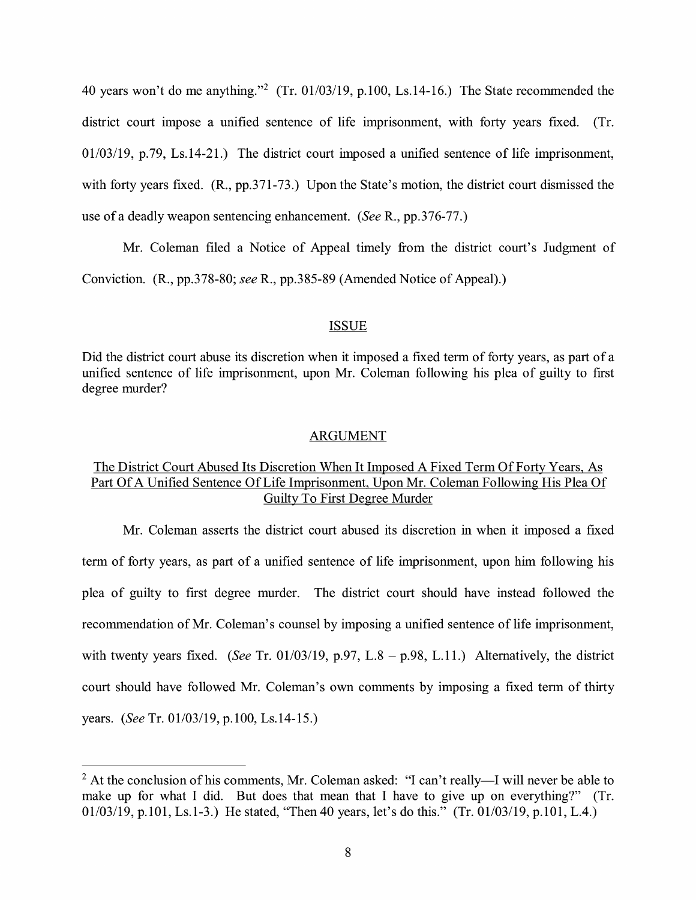40 years won't do me anything."<sup>2</sup> (Tr. 01/03/19, p.100, Ls.14-16.) The State recommended the district court impose a unified sentence of life imprisonment, with forty years fixed. (Tr. 01/03/19, p.79, Ls.14-21.) The district court imposed a unified sentence of life imprisonment, with forty years fixed. (R., pp.371-73.) Upon the State's motion, the district court dismissed the use ofa deadly weapon sentencing enhancement. *(See* R., pp.376-77.)

Mr. Coleman filed a Notice of Appeal timely from the district court's Judgment of Conviction. (R., pp.378-80; *see* R., pp.385-89 (Amended Notice of Appeal).)

#### ISSUE

Did the district court abuse its discretion when it imposed a fixed term of forty years, as part of a unified sentence of life imprisonment, upon Mr. Coleman following his plea of guilty to first degree murder?

#### ARGUMENT

### The District Court Abused Its Discretion When It Imposed A Fixed Term Of Forty Years, As Part Of A Unified Sentence Of Life Imprisonment, Upon Mr. Coleman Following His Plea Of Guilty To First Degree Murder

Mr. Coleman asserts the district court abused its discretion in when it imposed a fixed term of forty years, as part of a unified sentence of life imprisonment, upon him following his plea of guilty to first degree murder. The district court should have instead followed the recommendation of Mr. Coleman's counsel by imposing a unified sentence of life imprisonment, with twenty years fixed. *(See Tr. 01/03/19, p.97, L.8 – p.98, L.11.)* Alternatively, the district court should have followed Mr. Coleman's own comments by imposing a fixed term of thirty years. *(See* Tr. 01/03/19, p.100, Ls.14-15.)

 $2$  At the conclusion of his comments, Mr. Coleman asked: "I can't really--I will never be able to make up for what I did. But does that mean that I have to give up on everything?" (Tr. 01/03/19, p.101, Ls.1-3.) He stated, "Then 40 years, let's do this." (Tr. 01/03/19, p.101, L.4.)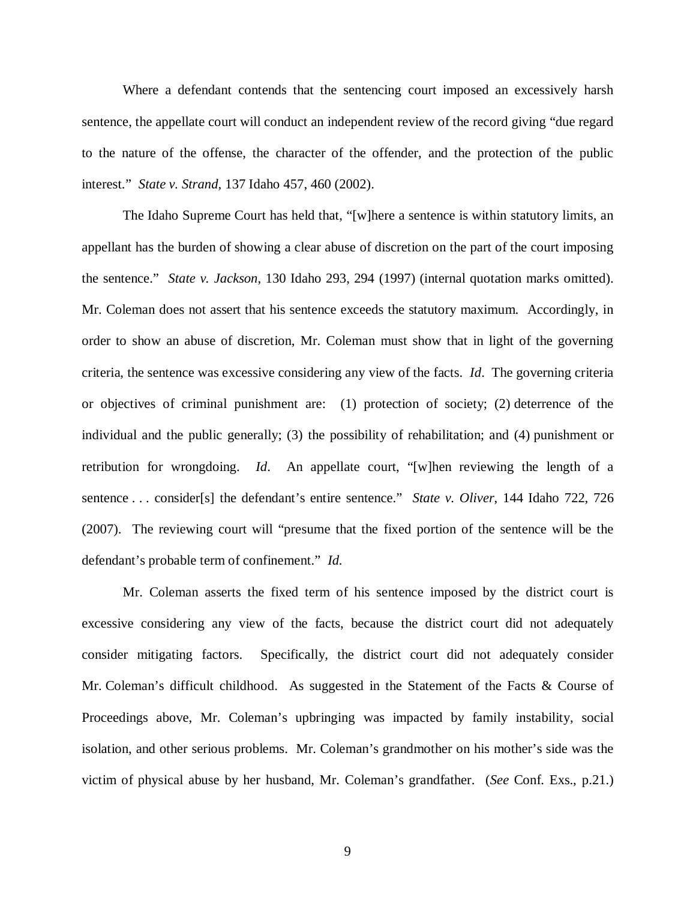Where a defendant contends that the sentencing court imposed an excessively harsh sentence, the appellate court will conduct an independent review of the record giving "due regard to the nature of the offense, the character of the offender, and the protection of the public interest." *State v. Strand*, 137 Idaho 457, 460 (2002).

The Idaho Supreme Court has held that, "[w]here a sentence is within statutory limits, an appellant has the burden of showing a clear abuse of discretion on the part of the court imposing the sentence." *State v. Jackson*, 130 Idaho 293, 294 (1997) (internal quotation marks omitted). Mr. Coleman does not assert that his sentence exceeds the statutory maximum. Accordingly, in order to show an abuse of discretion, Mr. Coleman must show that in light of the governing criteria, the sentence was excessive considering any view of the facts. *Id*. The governing criteria or objectives of criminal punishment are: (1) protection of society; (2) deterrence of the individual and the public generally; (3) the possibility of rehabilitation; and (4) punishment or retribution for wrongdoing. *Id*. An appellate court, "[w]hen reviewing the length of a sentence . . . consider[s] the defendant's entire sentence." *State v. Oliver*, 144 Idaho 722, 726 (2007). The reviewing court will "presume that the fixed portion of the sentence will be the defendant's probable term of confinement." *Id.*

Mr. Coleman asserts the fixed term of his sentence imposed by the district court is excessive considering any view of the facts, because the district court did not adequately consider mitigating factors. Specifically, the district court did not adequately consider Mr. Coleman's difficult childhood. As suggested in the Statement of the Facts & Course of Proceedings above, Mr. Coleman's upbringing was impacted by family instability, social isolation, and other serious problems. Mr. Coleman's grandmother on his mother's side was the victim of physical abuse by her husband, Mr. Coleman's grandfather. (*See* Conf. Exs., p.21.)

9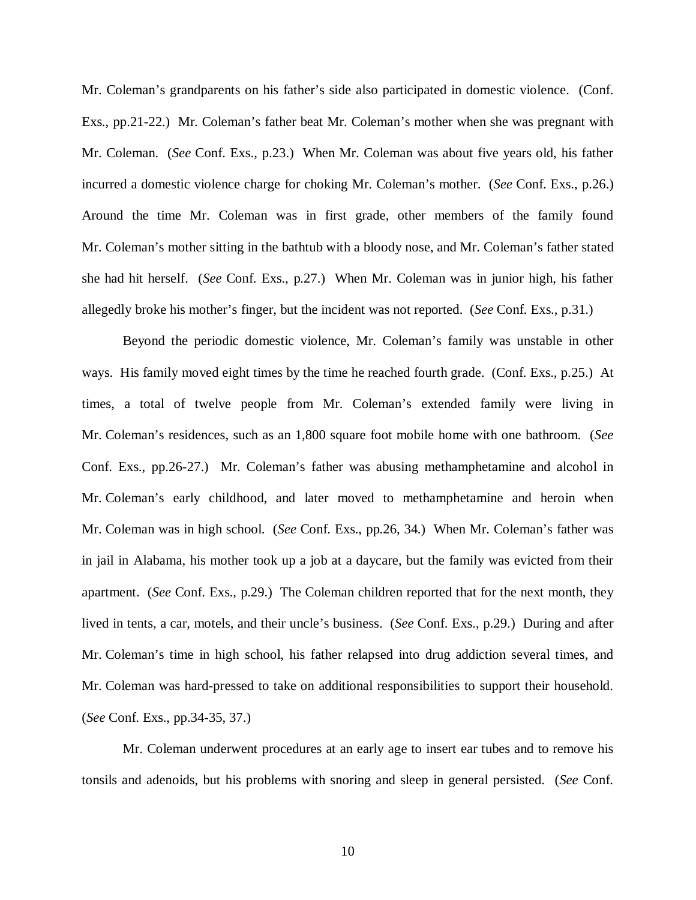Mr. Coleman's grandparents on his father's side also participated in domestic violence. (Conf. Exs., pp.21-22.) Mr. Coleman's father beat Mr. Coleman's mother when she was pregnant with Mr. Coleman. (*See* Conf. Exs., p.23.) When Mr. Coleman was about five years old, his father incurred a domestic violence charge for choking Mr. Coleman's mother. (*See* Conf. Exs., p.26.) Around the time Mr. Coleman was in first grade, other members of the family found Mr. Coleman's mother sitting in the bathtub with a bloody nose, and Mr. Coleman's father stated she had hit herself. (*See* Conf. Exs., p.27.) When Mr. Coleman was in junior high, his father allegedly broke his mother's finger, but the incident was not reported. (*See* Conf. Exs., p.31.)

Beyond the periodic domestic violence, Mr. Coleman's family was unstable in other ways. His family moved eight times by the time he reached fourth grade. (Conf. Exs., p.25.) At times, a total of twelve people from Mr. Coleman's extended family were living in Mr. Coleman's residences, such as an 1,800 square foot mobile home with one bathroom. (*See* Conf. Exs., pp.26-27.) Mr. Coleman's father was abusing methamphetamine and alcohol in Mr. Coleman's early childhood, and later moved to methamphetamine and heroin when Mr. Coleman was in high school. (*See* Conf. Exs., pp.26, 34.) When Mr. Coleman's father was in jail in Alabama, his mother took up a job at a daycare, but the family was evicted from their apartment. (*See* Conf. Exs., p.29.) The Coleman children reported that for the next month, they lived in tents, a car, motels, and their uncle's business. (*See* Conf. Exs., p.29.) During and after Mr. Coleman's time in high school, his father relapsed into drug addiction several times, and Mr. Coleman was hard-pressed to take on additional responsibilities to support their household. (*See* Conf. Exs., pp.34-35, 37.)

Mr. Coleman underwent procedures at an early age to insert ear tubes and to remove his tonsils and adenoids, but his problems with snoring and sleep in general persisted. (*See* Conf.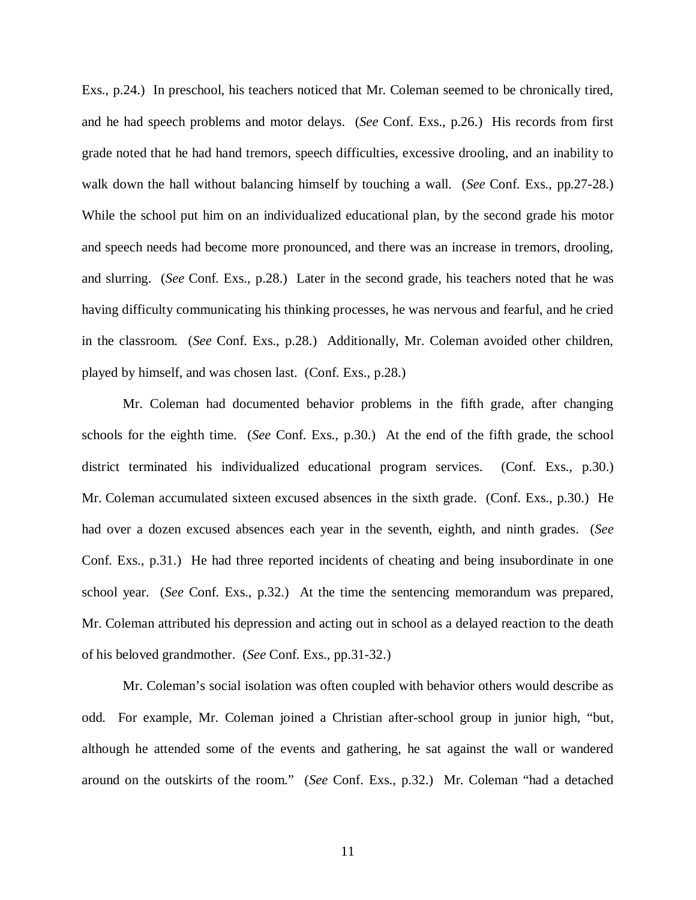Exs., p.24.) In preschool, his teachers noticed that Mr. Coleman seemed to be chronically tired, and he had speech problems and motor delays. (*See* Conf. Exs., p.26.) His records from first grade noted that he had hand tremors, speech difficulties, excessive drooling, and an inability to walk down the hall without balancing himself by touching a wall. (*See* Conf. Exs., pp.27-28.) While the school put him on an individualized educational plan, by the second grade his motor and speech needs had become more pronounced, and there was an increase in tremors, drooling, and slurring. (*See* Conf. Exs., p.28.) Later in the second grade, his teachers noted that he was having difficulty communicating his thinking processes, he was nervous and fearful, and he cried in the classroom. (*See* Conf. Exs., p.28.) Additionally, Mr. Coleman avoided other children, played by himself, and was chosen last. (Conf. Exs., p.28.)

Mr. Coleman had documented behavior problems in the fifth grade, after changing schools for the eighth time. (*See* Conf. Exs., p.30.) At the end of the fifth grade, the school district terminated his individualized educational program services. (Conf. Exs., p.30.) Mr. Coleman accumulated sixteen excused absences in the sixth grade. (Conf. Exs., p.30.) He had over a dozen excused absences each year in the seventh, eighth, and ninth grades. (*See* Conf. Exs., p.31.) He had three reported incidents of cheating and being insubordinate in one school year. (*See* Conf. Exs., p.32.) At the time the sentencing memorandum was prepared, Mr. Coleman attributed his depression and acting out in school as a delayed reaction to the death of his beloved grandmother. (*See* Conf. Exs., pp.31-32.)

Mr. Coleman's social isolation was often coupled with behavior others would describe as odd. For example, Mr. Coleman joined a Christian after-school group in junior high, "but, although he attended some of the events and gathering, he sat against the wall or wandered around on the outskirts of the room." (*See* Conf. Exs., p.32.) Mr. Coleman "had a detached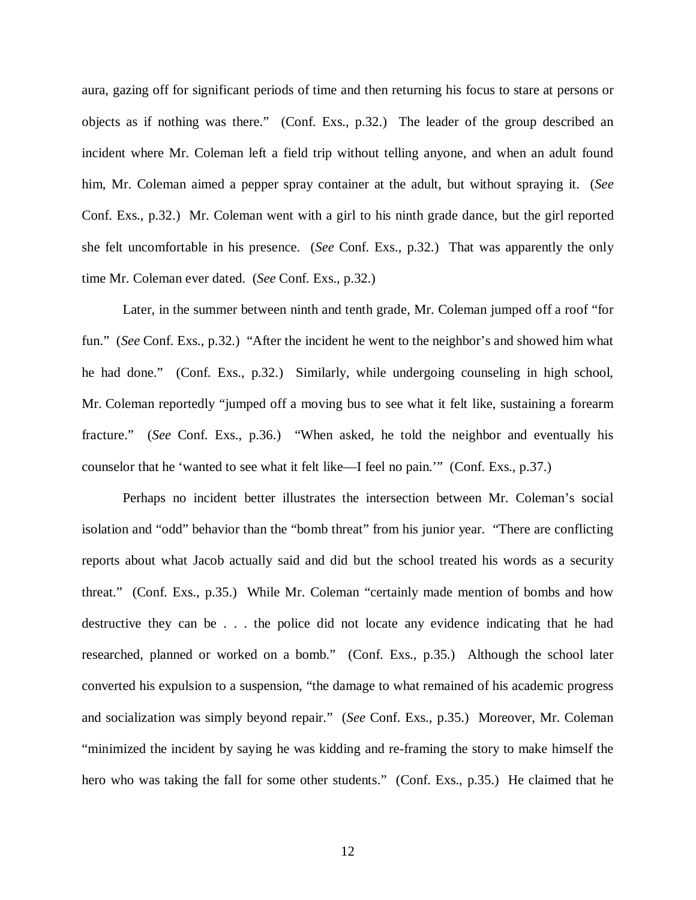aura, gazing off for significant periods of time and then returning his focus to stare at persons or objects as if nothing was there." (Conf. Exs., p.32.) The leader of the group described an incident where Mr. Coleman left a field trip without telling anyone, and when an adult found him, Mr. Coleman aimed a pepper spray container at the adult, but without spraying it. (*See* Conf. Exs., p.32.) Mr. Coleman went with a girl to his ninth grade dance, but the girl reported she felt uncomfortable in his presence. (*See* Conf. Exs., p.32.) That was apparently the only time Mr. Coleman ever dated. (*See* Conf. Exs., p.32.)

Later, in the summer between ninth and tenth grade, Mr. Coleman jumped off a roof "for fun." (*See* Conf. Exs., p.32.) "After the incident he went to the neighbor's and showed him what he had done." (Conf. Exs., p.32.) Similarly, while undergoing counseling in high school, Mr. Coleman reportedly "jumped off a moving bus to see what it felt like, sustaining a forearm fracture." (*See* Conf. Exs., p.36.) "When asked, he told the neighbor and eventually his counselor that he 'wanted to see what it felt like—I feel no pain.'" (Conf. Exs., p.37.)

Perhaps no incident better illustrates the intersection between Mr. Coleman's social isolation and "odd" behavior than the "bomb threat" from his junior year. "There are conflicting reports about what Jacob actually said and did but the school treated his words as a security threat." (Conf. Exs., p.35.) While Mr. Coleman "certainly made mention of bombs and how destructive they can be . . . the police did not locate any evidence indicating that he had researched, planned or worked on a bomb." (Conf. Exs., p.35.) Although the school later converted his expulsion to a suspension, "the damage to what remained of his academic progress and socialization was simply beyond repair." (*See* Conf. Exs., p.35.) Moreover, Mr. Coleman "minimized the incident by saying he was kidding and re-framing the story to make himself the hero who was taking the fall for some other students." (Conf. Exs., p.35.) He claimed that he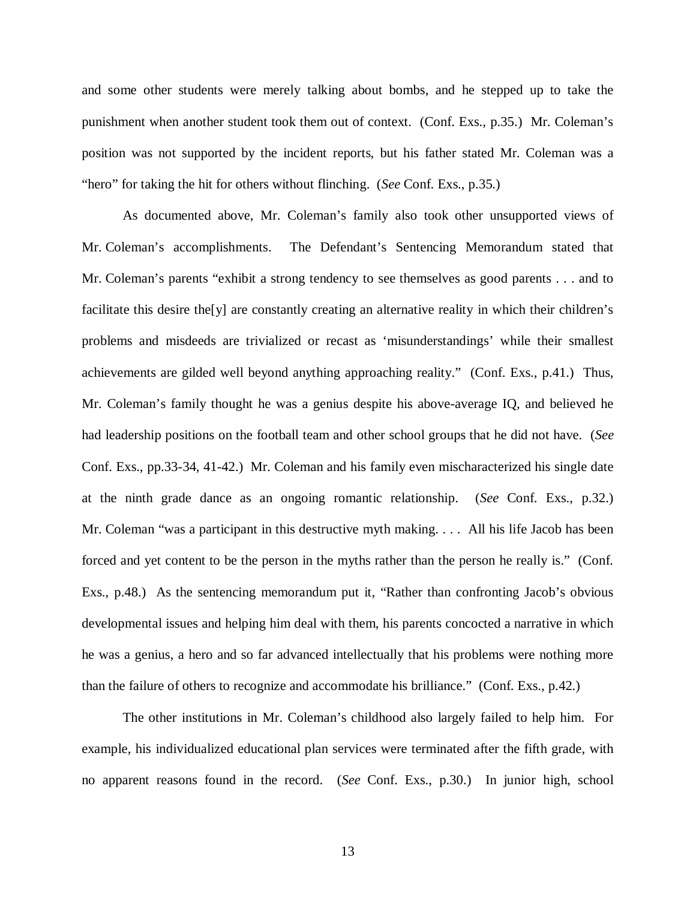and some other students were merely talking about bombs, and he stepped up to take the punishment when another student took them out of context. (Conf. Exs., p.35.) Mr. Coleman's position was not supported by the incident reports, but his father stated Mr. Coleman was a "hero" for taking the hit for others without flinching. (*See* Conf. Exs., p.35.)

As documented above, Mr. Coleman's family also took other unsupported views of Mr. Coleman's accomplishments. The Defendant's Sentencing Memorandum stated that Mr. Coleman's parents "exhibit a strong tendency to see themselves as good parents . . . and to facilitate this desire the[y] are constantly creating an alternative reality in which their children's problems and misdeeds are trivialized or recast as 'misunderstandings' while their smallest achievements are gilded well beyond anything approaching reality." (Conf. Exs., p.41.) Thus, Mr. Coleman's family thought he was a genius despite his above-average IQ, and believed he had leadership positions on the football team and other school groups that he did not have. (*See* Conf. Exs., pp.33-34, 41-42.) Mr. Coleman and his family even mischaracterized his single date at the ninth grade dance as an ongoing romantic relationship. (*See* Conf. Exs., p.32.) Mr. Coleman "was a participant in this destructive myth making. . . . All his life Jacob has been forced and yet content to be the person in the myths rather than the person he really is." (Conf. Exs., p.48.) As the sentencing memorandum put it, "Rather than confronting Jacob's obvious developmental issues and helping him deal with them, his parents concocted a narrative in which he was a genius, a hero and so far advanced intellectually that his problems were nothing more than the failure of others to recognize and accommodate his brilliance." (Conf. Exs., p.42.)

The other institutions in Mr. Coleman's childhood also largely failed to help him. For example, his individualized educational plan services were terminated after the fifth grade, with no apparent reasons found in the record. (*See* Conf. Exs., p.30.) In junior high, school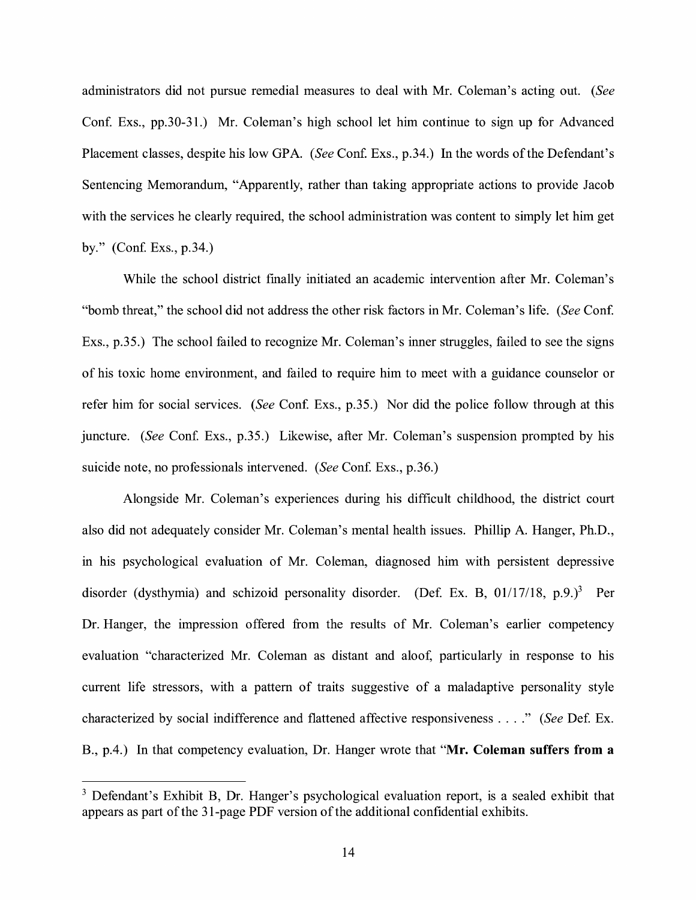administrators did not pursue remedial measures to deal with Mr. Coleman's acting out. *(See*  Conf. Exs., pp.30-31.) Mr. Coleman's high school let him continue to sign up for Advanced Placement classes, despite his low GPA. *(See Conf. Exs., p.34.)* In the words of the Defendant's Sentencing Memorandum, "Apparently, rather than taking appropriate actions to provide Jacob with the services he clearly required, the school administration was content to simply let him get by." (Conf. Exs., p.34.)

While the school district finally initiated an academic intervention after Mr. Coleman's "bomb threat," the school did not address the other risk factors in Mr. Coleman's life. *(See* Conf. Exs., p.35.) The school failed to recognize Mr. Coleman's inner struggles, failed to see the signs of his toxic home environment, and failed to require him to meet with a guidance counselor or refer him for social services. *(See* Conf. Exs., p.35.) Nor did the police follow through at this juncture. *(See* Con£ Exs., p.35.) Likewise, after Mr. Coleman's suspension prompted by his suicide note, no professionals intervened. *(See* Conf. Exs., p.36.)

Alongside Mr. Coleman's experiences during his difficult childhood, the district court also did not adequately consider Mr. Coleman's mental health issues. Phillip A. Hanger, Ph.D., in his psychological evaluation of Mr. Coleman, diagnosed him with persistent depressive disorder (dysthymia) and schizoid personality disorder. (Def. Ex. B,  $01/17/18$ , p.9.)<sup>3</sup> Per Dr. Hanger, the impression offered from the results of Mr. Coleman's earlier competency evaluation "characterized Mr. Coleman as distant and aloof, particularly in response to his current life stressors, with a pattern of traits suggestive of a maladaptive personality style characterized by social indifference and flattened affective responsiveness .... " *(See* Def. Ex. B., p.4.) In that competency evaluation, Dr. Hanger wrote that **"Mr. Coleman suffers from a** 

<sup>&</sup>lt;sup>3</sup> Defendant's Exhibit B, Dr. Hanger's psychological evaluation report, is a sealed exhibit that appears as part of the 31-page PDF version of the additional confidential exhibits.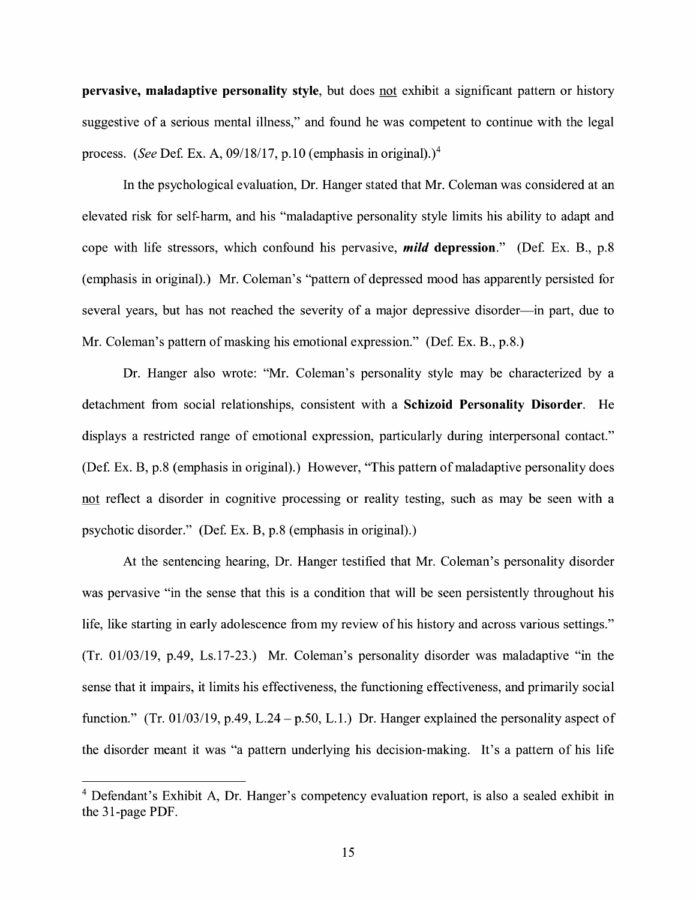**pervasive, maladaptive personality style**, but does not exhibit a significant pattern or history suggestive of a serious mental illness," and found he was competent to continue with the legal process. (See Def. Ex. A,  $09/18/17$ , p.10 (emphasis in original).)<sup>4</sup>

In the psychological evaluation, Dr. Hanger stated that Mr. Coleman was considered at an elevated risk for self-harm, and his "maladaptive personality style limits his ability to adapt and cope with life stressors, which confound his pervasive, *mild* depression." (Def. Ex. B., p.8) (emphasis in original).) Mr. Coleman's "pattern of depressed mood has apparently persisted for several years, but has not reached the severity of a major depressive disorder-in part, due to Mr. Coleman's pattern of masking his emotional expression." (Def. Ex. B., p.8.)

Dr. Hanger also wrote: "Mr. Coleman's personality style may be characterized by a detachment from social relationships, consistent with a **Schizoid Personality Disorder.** He displays a restricted range of emotional expression, particularly during interpersonal contact." (Def. Ex. B, p.8 (emphasis in original).) However, "This pattern of maladaptive personality does not reflect a disorder in cognitive processing or reality testing, such as may be seen with a psychotic disorder." (Def. Ex. B, p.8 (emphasis in original).)

At the sentencing hearing, Dr. Hanger testified that Mr. Coleman's personality disorder was pervasive "in the sense that this is a condition that will be seen persistently throughout his life, like starting in early adolescence from my review of his history and across various settings." (Tr. 01/03/19, p.49, Ls.17-23.) Mr. Coleman's personality disorder was maladaptive "in the sense that it impairs, it limits his effectiveness, the functioning effectiveness, and primarily social function." (Tr. 01/03/19, p.49, L.24 – p.50, L.1.) Dr. Hanger explained the personality aspect of the disorder meant it was "a pattern underlying his decision-making. It's a pattern of his life

<sup>&</sup>lt;sup>4</sup> Defendant's Exhibit A, Dr. Hanger's competency evaluation report, is also a sealed exhibit in the 31-page PDF.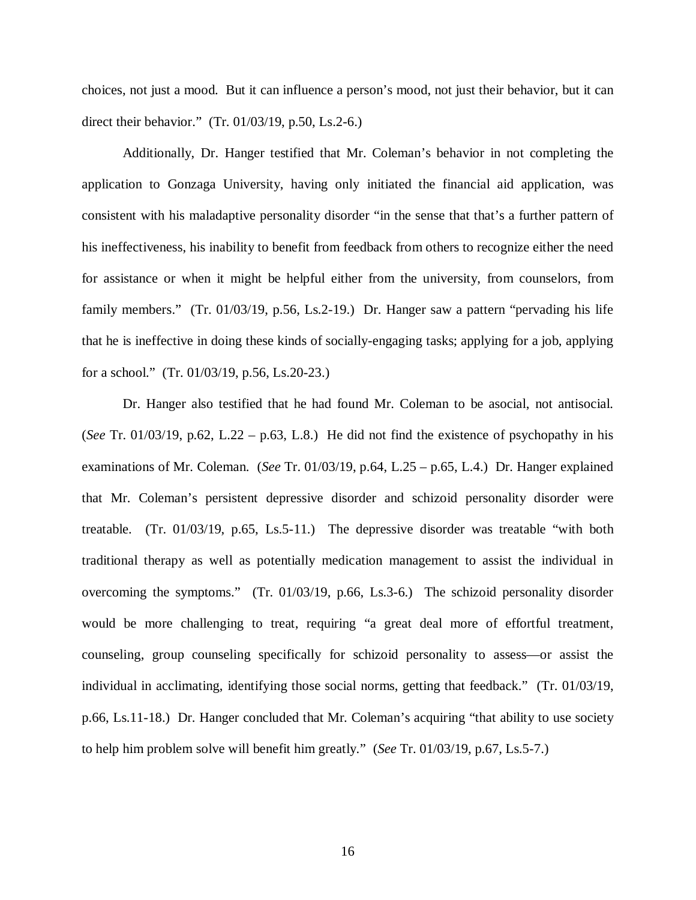choices, not just a mood. But it can influence a person's mood, not just their behavior, but it can direct their behavior." (Tr. 01/03/19, p.50, Ls.2-6.)

Additionally, Dr. Hanger testified that Mr. Coleman's behavior in not completing the application to Gonzaga University, having only initiated the financial aid application, was consistent with his maladaptive personality disorder "in the sense that that's a further pattern of his ineffectiveness, his inability to benefit from feedback from others to recognize either the need for assistance or when it might be helpful either from the university, from counselors, from family members." (Tr. 01/03/19, p.56, Ls.2-19.) Dr. Hanger saw a pattern "pervading his life that he is ineffective in doing these kinds of socially-engaging tasks; applying for a job, applying for a school." (Tr. 01/03/19, p.56, Ls.20-23.)

Dr. Hanger also testified that he had found Mr. Coleman to be asocial, not antisocial. (*See* Tr. 01/03/19, p.62, L.22 – p.63, L.8.) He did not find the existence of psychopathy in his examinations of Mr. Coleman. (*See* Tr. 01/03/19, p.64, L.25 – p.65, L.4.) Dr. Hanger explained that Mr. Coleman's persistent depressive disorder and schizoid personality disorder were treatable. (Tr. 01/03/19, p.65, Ls.5-11.) The depressive disorder was treatable "with both traditional therapy as well as potentially medication management to assist the individual in overcoming the symptoms." (Tr. 01/03/19, p.66, Ls.3-6.) The schizoid personality disorder would be more challenging to treat, requiring "a great deal more of effortful treatment, counseling, group counseling specifically for schizoid personality to assess—or assist the individual in acclimating, identifying those social norms, getting that feedback." (Tr. 01/03/19, p.66, Ls.11-18.) Dr. Hanger concluded that Mr. Coleman's acquiring "that ability to use society to help him problem solve will benefit him greatly." (*See* Tr. 01/03/19, p.67, Ls.5-7.)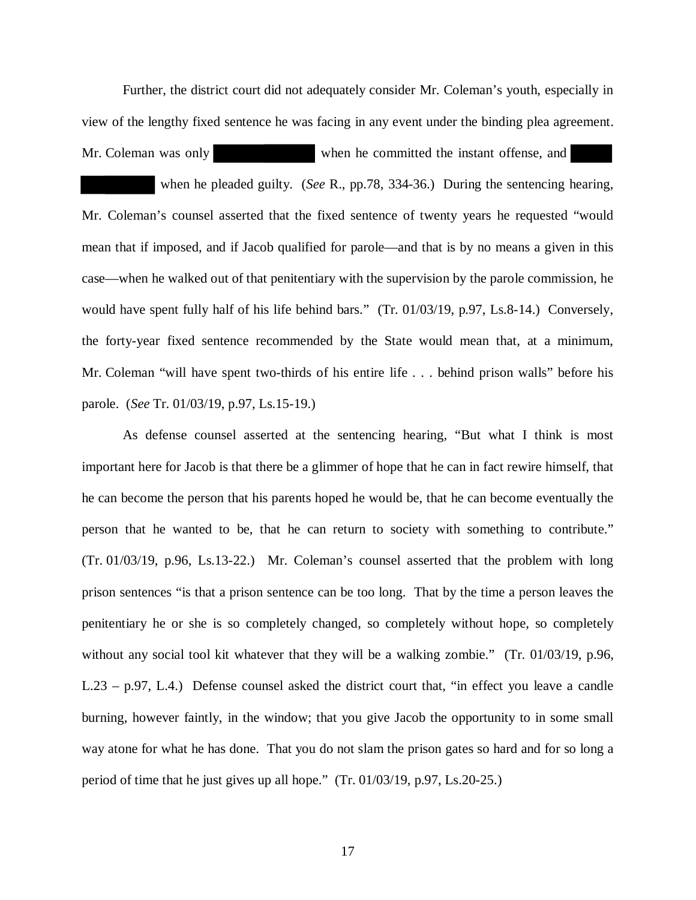Further, the district court did not adequately consider Mr. Coleman's youth, especially in view of the lengthy fixed sentence he was facing in any event under the binding plea agreement.

Mr. Coleman was only when he committed the instant offense, and

 when he pleaded guilty. (*See* R., pp.78, 334-36.) During the sentencing hearing, Mr. Coleman's counsel asserted that the fixed sentence of twenty years he requested "would mean that if imposed, and if Jacob qualified for parole—and that is by no means a given in this case—when he walked out of that penitentiary with the supervision by the parole commission, he would have spent fully half of his life behind bars." (Tr. 01/03/19, p.97, Ls.8-14.) Conversely, the forty-year fixed sentence recommended by the State would mean that, at a minimum, Mr. Coleman "will have spent two-thirds of his entire life . . . behind prison walls" before his parole. (*See* Tr. 01/03/19, p.97, Ls.15-19.)

As defense counsel asserted at the sentencing hearing, "But what I think is most important here for Jacob is that there be a glimmer of hope that he can in fact rewire himself, that he can become the person that his parents hoped he would be, that he can become eventually the person that he wanted to be, that he can return to society with something to contribute." (Tr. 01/03/19, p.96, Ls.13-22.) Mr. Coleman's counsel asserted that the problem with long prison sentences "is that a prison sentence can be too long. That by the time a person leaves the penitentiary he or she is so completely changed, so completely without hope, so completely without any social tool kit whatever that they will be a walking zombie." (Tr. 01/03/19, p.96, L.23 – p.97, L.4.) Defense counsel asked the district court that, "in effect you leave a candle burning, however faintly, in the window; that you give Jacob the opportunity to in some small way atone for what he has done. That you do not slam the prison gates so hard and for so long a period of time that he just gives up all hope." (Tr. 01/03/19, p.97, Ls.20-25.)